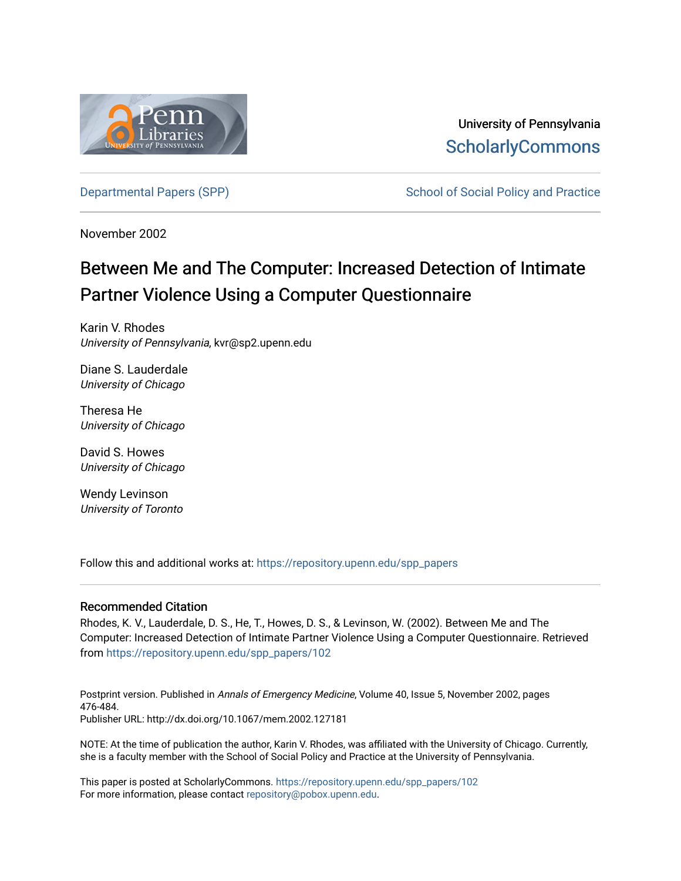

University of Pennsylvania **ScholarlyCommons** 

[Departmental Papers \(SPP\)](https://repository.upenn.edu/spp_papers) The School of Social Policy and Practice

November 2002

## Between Me and The Computer: Increased Detection of Intimate Partner Violence Using a Computer Questionnaire

Karin V. Rhodes University of Pennsylvania, kvr@sp2.upenn.edu

Diane S. Lauderdale University of Chicago

Theresa He University of Chicago

David S. Howes University of Chicago

Wendy Levinson University of Toronto

Follow this and additional works at: [https://repository.upenn.edu/spp\\_papers](https://repository.upenn.edu/spp_papers?utm_source=repository.upenn.edu%2Fspp_papers%2F102&utm_medium=PDF&utm_campaign=PDFCoverPages) 

## Recommended Citation

Rhodes, K. V., Lauderdale, D. S., He, T., Howes, D. S., & Levinson, W. (2002). Between Me and The Computer: Increased Detection of Intimate Partner Violence Using a Computer Questionnaire. Retrieved from [https://repository.upenn.edu/spp\\_papers/102](https://repository.upenn.edu/spp_papers/102?utm_source=repository.upenn.edu%2Fspp_papers%2F102&utm_medium=PDF&utm_campaign=PDFCoverPages) 

Postprint version. Published in Annals of Emergency Medicine, Volume 40, Issue 5, November 2002, pages 476-484. Publisher URL: http://dx.doi.org/10.1067/mem.2002.127181

NOTE: At the time of publication the author, Karin V. Rhodes, was affiliated with the University of Chicago. Currently, she is a faculty member with the School of Social Policy and Practice at the University of Pennsylvania.

This paper is posted at ScholarlyCommons. [https://repository.upenn.edu/spp\\_papers/102](https://repository.upenn.edu/spp_papers/102)  For more information, please contact [repository@pobox.upenn.edu.](mailto:repository@pobox.upenn.edu)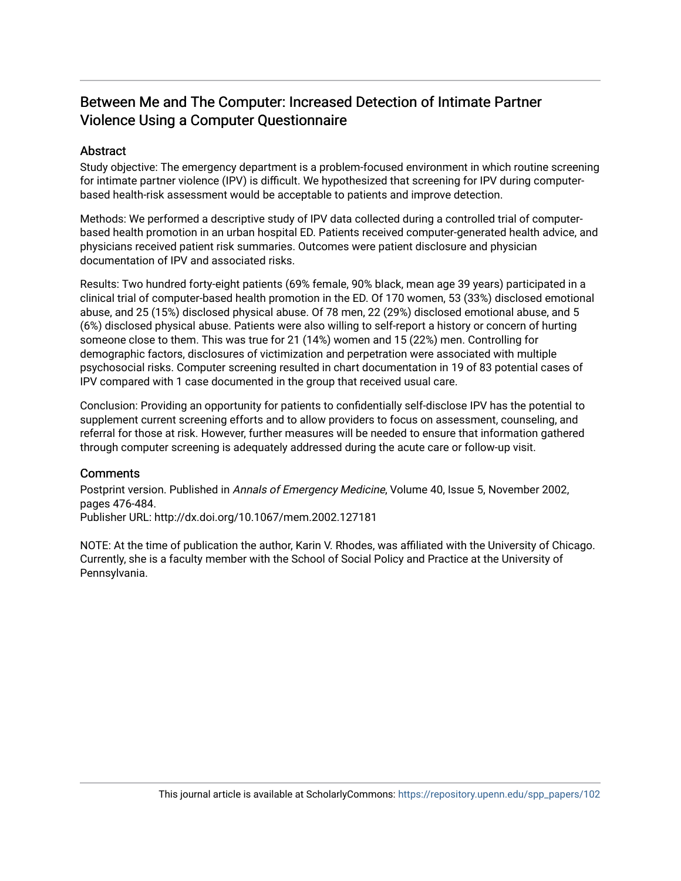## Between Me and The Computer: Increased Detection of Intimate Partner Violence Using a Computer Questionnaire

## **Abstract**

Study objective: The emergency department is a problem-focused environment in which routine screening for intimate partner violence (IPV) is difficult. We hypothesized that screening for IPV during computerbased health-risk assessment would be acceptable to patients and improve detection.

Methods: We performed a descriptive study of IPV data collected during a controlled trial of computerbased health promotion in an urban hospital ED. Patients received computer-generated health advice, and physicians received patient risk summaries. Outcomes were patient disclosure and physician documentation of IPV and associated risks.

Results: Two hundred forty-eight patients (69% female, 90% black, mean age 39 years) participated in a clinical trial of computer-based health promotion in the ED. Of 170 women, 53 (33%) disclosed emotional abuse, and 25 (15%) disclosed physical abuse. Of 78 men, 22 (29%) disclosed emotional abuse, and 5 (6%) disclosed physical abuse. Patients were also willing to self-report a history or concern of hurting someone close to them. This was true for 21 (14%) women and 15 (22%) men. Controlling for demographic factors, disclosures of victimization and perpetration were associated with multiple psychosocial risks. Computer screening resulted in chart documentation in 19 of 83 potential cases of IPV compared with 1 case documented in the group that received usual care.

Conclusion: Providing an opportunity for patients to confidentially self-disclose IPV has the potential to supplement current screening efforts and to allow providers to focus on assessment, counseling, and referral for those at risk. However, further measures will be needed to ensure that information gathered through computer screening is adequately addressed during the acute care or follow-up visit.

## **Comments**

Postprint version. Published in Annals of Emergency Medicine, Volume 40, Issue 5, November 2002, pages 476-484.

Publisher URL: http://dx.doi.org/10.1067/mem.2002.127181

NOTE: At the time of publication the author, Karin V. Rhodes, was affiliated with the University of Chicago. Currently, she is a faculty member with the School of Social Policy and Practice at the University of Pennsylvania.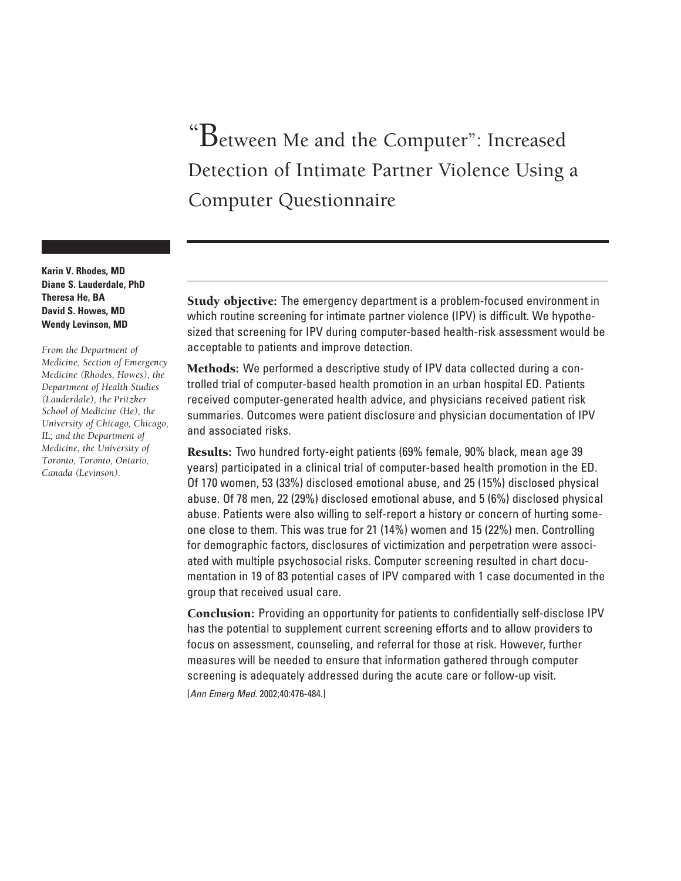# "Between Me and the Computer": Increased Detection of Intimate Partner Violence Using a Computer Questionnaire

**Karin V. Rhodes, MD Diane S. Lauderdale, PhD Theresa He, BA David S. Howes, MD Wendy Levinson, MD**

*From the Department of Medicine, Section of Emergency Medicine (Rhodes, Howes), the Department of Health Studies (Lauderdale), the Pritzker School of Medicine (He), the University of Chicago, Chicago, IL; and the Department of Medicine, the University of Toronto, Toronto, Ontario, Canada (Levinson).*

Study objective: The emergency department is a problem-focused environment in which routine screening for intimate partner violence (IPV) is difficult. We hypothesized that screening for IPV during computer-based health-risk assessment would be acceptable to patients and improve detection.

Methods: We performed a descriptive study of IPV data collected during a controlled trial of computer-based health promotion in an urban hospital ED. Patients received computer-generated health advice, and physicians received patient risk summaries. Outcomes were patient disclosure and physician documentation of IPV and associated risks.

Results: Two hundred forty-eight patients (69% female, 90% black, mean age 39 years) participated in a clinical trial of computer-based health promotion in the ED. Of 170 women, 53 (33%) disclosed emotional abuse, and 25 (15%) disclosed physical abuse. Of 78 men, 22 (29%) disclosed emotional abuse, and 5 (6%) disclosed physical abuse. Patients were also willing to self-report a history or concern of hurting someone close to them. This was true for 21 (14%) women and 15 (22%) men. Controlling for demographic factors, disclosures of victimization and perpetration were associated with multiple psychosocial risks. Computer screening resulted in chart documentation in 19 of 83 potential cases of IPV compared with 1 case documented in the group that received usual care.

Conclusion: Providing an opportunity for patients to confidentially self-disclose IPV has the potential to supplement current screening efforts and to allow providers to focus on assessment, counseling, and referral for those at risk. However, further measures will be needed to ensure that information gathered through computer screening is adequately addressed during the acute care or follow-up visit. [Ann Emerg Med. 2002;40:476-484.]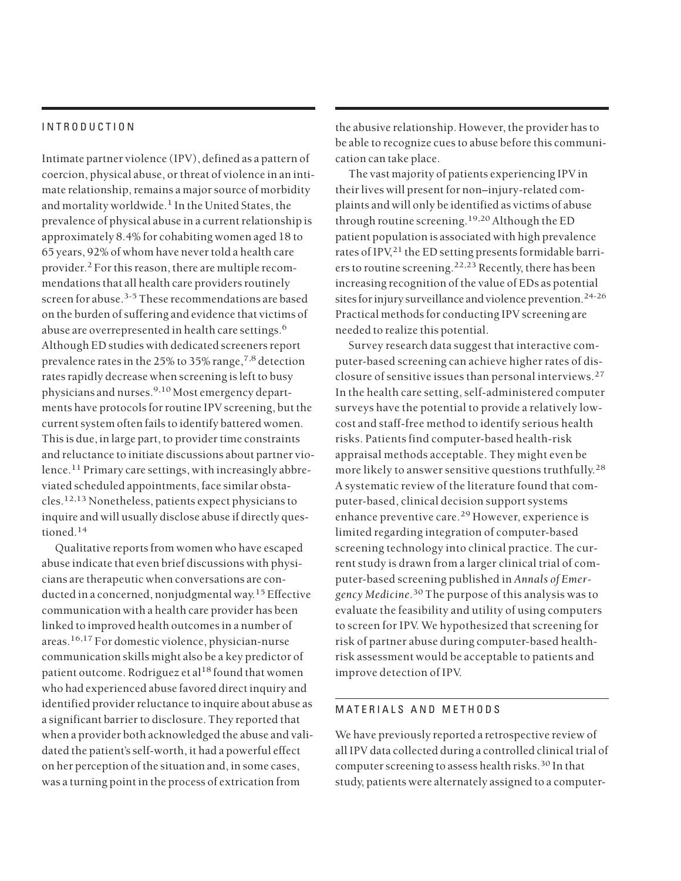## INTRODUCTION

Intimate partner violence (IPV), defined as a pattern of coercion, physical abuse, or threat of violence in an intimate relationship, remains a major source of morbidity and mortality worldwide.<sup>1</sup> In the United States, the prevalence of physical abuse in a current relationship is approximately 8.4% for cohabiting women aged 18 to 65 years, 92% of whom have never told a health care provider.<sup>2</sup> For this reason, there are multiple recommendations that all health care providers routinely screen for abuse.<sup>3-5</sup> These recommendations are based on the burden of suffering and evidence that victims of abuse are overrepresented in health care settings.<sup>6</sup> Although ED studies with dedicated screeners report prevalence rates in the 25% to 35% range,  $^{7,8}$  detection rates rapidly decrease when screening is left to busy physicians and nurses.9,10 Most emergency departments have protocols for routine IPV screening, but the current system often fails to identify battered women. This is due, in large part, to provider time constraints and reluctance to initiate discussions about partner violence.<sup>11</sup> Primary care settings, with increasingly abbreviated scheduled appointments, face similar obstacles.12,13 Nonetheless, patients expect physicians to inquire and will usually disclose abuse if directly questioned.<sup>14</sup>

Qualitative reports from women who have escaped abuse indicate that even brief discussions with physicians are therapeutic when conversations are conducted in a concerned, nonjudgmental way.<sup>15</sup> Effective communication with a health care provider has been linked to improved health outcomes in a number of areas.16,17 For domestic violence, physician-nurse communication skills might also be a key predictor of patient outcome. Rodriguez et al<sup>18</sup> found that women who had experienced abuse favored direct inquiry and identified provider reluctance to inquire about abuse as a significant barrier to disclosure. They reported that when a provider both acknowledged the abuse and validated the patient's self-worth, it had a powerful effect on her perception of the situation and, in some cases, was a turning point in the process of extrication from

the abusive relationship. However, the provider has to be able to recognize cues to abuse before this communication can take place.

The vast majority of patients experiencing IPV in their lives will present for non–injury-related complaints and will only be identified as victims of abuse through routine screening.<sup>19,20</sup> Although the ED patient population is associated with high prevalence rates of IPV,<sup>21</sup> the ED setting presents formidable barriers to routine screening.<sup>22,23</sup> Recently, there has been increasing recognition of the value of EDs as potential sites for injury surveillance and violence prevention.<sup>24-26</sup> Practical methods for conducting IPV screening are needed to realize this potential.

Survey research data suggest that interactive computer-based screening can achieve higher rates of disclosure of sensitive issues than personal interviews.<sup>27</sup> In the health care setting, self-administered computer surveys have the potential to provide a relatively lowcost and staff-free method to identify serious health risks. Patients find computer-based health-risk appraisal methods acceptable. They might even be more likely to answer sensitive questions truthfully.<sup>28</sup> A systematic review of the literature found that computer-based, clinical decision support systems enhance preventive care.<sup>29</sup> However, experience is limited regarding integration of computer-based screening technology into clinical practice. The current study is drawn from a larger clinical trial of computer-based screening published in *Annals of Emergency Medicine*. <sup>30</sup> The purpose of this analysis was to evaluate the feasibility and utility of using computers to screen for IPV. We hypothesized that screening for risk of partner abuse during computer-based healthrisk assessment would be acceptable to patients and improve detection of IPV.

#### MATERIALS AND METHODS

We have previously reported a retrospective review of all IPV data collected during a controlled clinical trial of computer screening to assess health risks.<sup>30</sup> In that study, patients were alternately assigned to a computer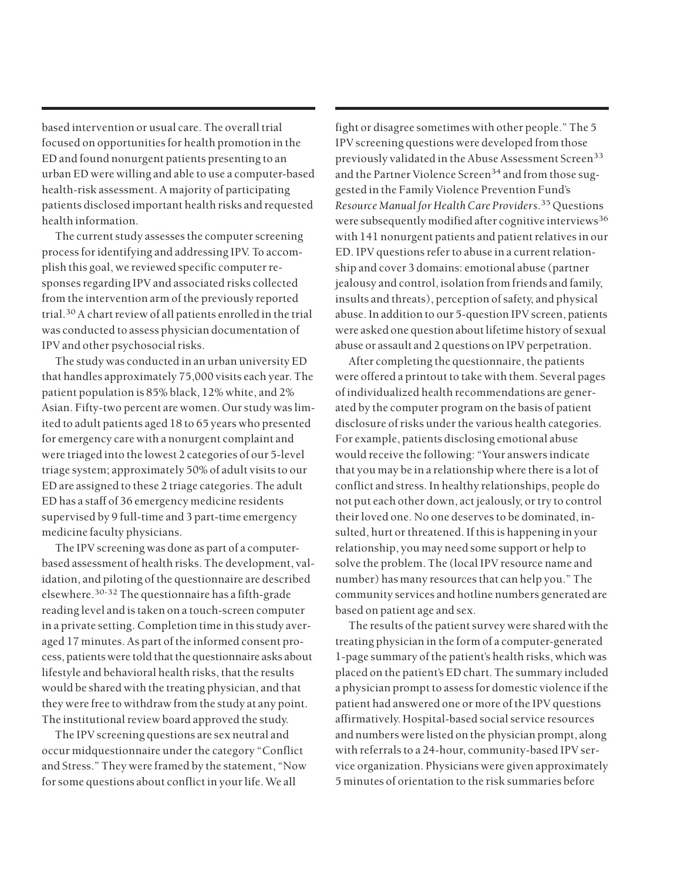based intervention or usual care. The overall trial focused on opportunities for health promotion in the ED and found nonurgent patients presenting to an urban ED were willing and able to use a computer-based health-risk assessment. A majority of participating patients disclosed important health risks and requested health information.

The current study assesses the computer screening process for identifying and addressing IPV. To accomplish this goal, we reviewed specific computer responses regarding IPV and associated risks collected from the intervention arm of the previously reported trial.30A chart review of all patients enrolled in the trial was conducted to assess physician documentation of IPV and other psychosocial risks.

The study was conducted in an urban university ED that handles approximately 75,000 visits each year. The patient population is 85% black, 12% white, and 2% Asian. Fifty-two percent are women. Our study was limited to adult patients aged 18 to 65 years who presented for emergency care with a nonurgent complaint and were triaged into the lowest 2 categories of our 5-level triage system; approximately 50% of adult visits to our ED are assigned to these 2 triage categories. The adult ED has a staff of 36 emergency medicine residents supervised by 9 full-time and 3 part-time emergency medicine faculty physicians.

The IPV screening was done as part of a computerbased assessment of health risks. The development, validation, and piloting of the questionnaire are described elsewhere.30-32 The questionnaire has a fifth-grade reading level and is taken on a touch-screen computer in a private setting. Completion time in this study averaged 17 minutes. As part of the informed consent process, patients were told that the questionnaire asks about lifestyle and behavioral health risks, that the results would be shared with the treating physician, and that they were free to withdraw from the study at any point. The institutional review board approved the study.

The IPV screening questions are sex neutral and occur midquestionnaire under the category "Conflict and Stress." They were framed by the statement, "Now for some questions about conflict in your life. We all

fight or disagree sometimes with other people." The 5 IPV screening questions were developed from those previously validated in the Abuse Assessment Screen<sup>33</sup> and the Partner Violence Screen<sup>34</sup> and from those suggested in the Family Violence Prevention Fund's *Resource Manual for Health Care Providers*. <sup>35</sup> Questions were subsequently modified after cognitive interviews<sup>36</sup> with 141 nonurgent patients and patient relatives in our ED. IPV questions refer to abuse in a current relationship and cover 3 domains: emotional abuse (partner jealousy and control, isolation from friends and family, insults and threats), perception of safety, and physical abuse. In addition to our 5-question IPV screen, patients were asked one question about lifetime history of sexual abuse or assault and 2 questions on IPV perpetration.

After completing the questionnaire, the patients were offered a printout to take with them. Several pages of individualized health recommendations are generated by the computer program on the basis of patient disclosure of risks under the various health categories. For example, patients disclosing emotional abuse would receive the following: "Your answers indicate that you may be in a relationship where there is a lot of conflict and stress. In healthy relationships, people do not put each other down, act jealously, or try to control their loved one. No one deserves to be dominated, insulted, hurt or threatened. If this is happening in your relationship, you may need some support or help to solve the problem. The (local IPV resource name and number) has many resources that can help you." The community services and hotline numbers generated are based on patient age and sex.

The results of the patient survey were shared with the treating physician in the form of a computer-generated 1-page summary of the patient's health risks, which was placed on the patient's ED chart. The summary included a physician prompt to assess for domestic violence if the patient had answered one or more of the IPV questions affirmatively. Hospital-based social service resources and numbers were listed on the physician prompt, along with referrals to a 24-hour, community-based IPV service organization. Physicians were given approximately 5 minutes of orientation to the risk summaries before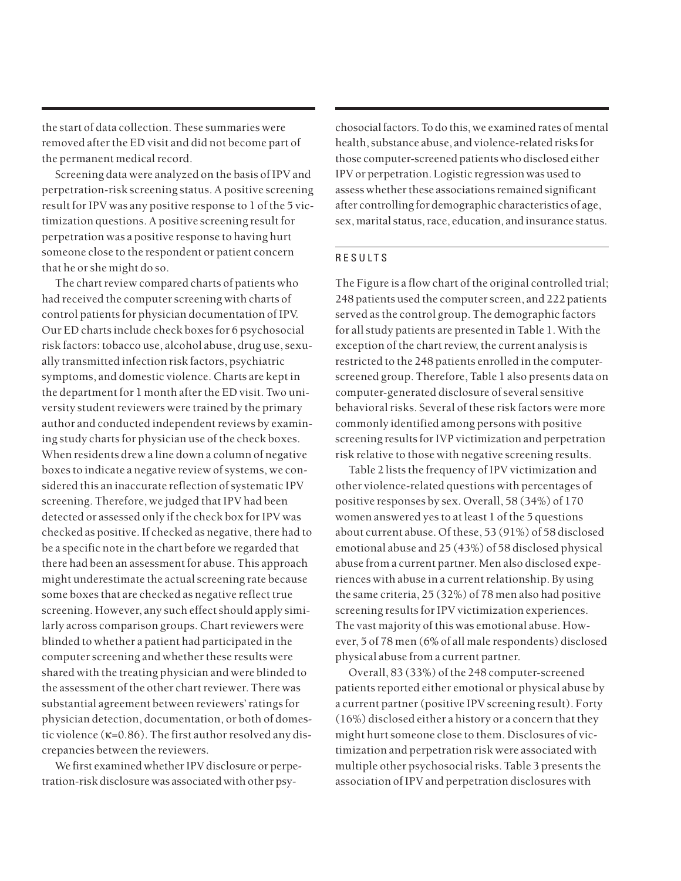the start of data collection. These summaries were removed after the ED visit and did not become part of the permanent medical record.

Screening data were analyzed on the basis of IPV and perpetration-risk screening status. A positive screening result for IPV was any positive response to 1 of the 5 victimization questions. A positive screening result for perpetration was a positive response to having hurt someone close to the respondent or patient concern that he or she might do so.

The chart review compared charts of patients who had received the computer screening with charts of control patients for physician documentation of IPV. Our ED charts include check boxes for 6 psychosocial risk factors: tobacco use, alcohol abuse, drug use, sexually transmitted infection risk factors, psychiatric symptoms, and domestic violence. Charts are kept in the department for 1 month after the ED visit. Two university student reviewers were trained by the primary author and conducted independent reviews by examining study charts for physician use of the check boxes. When residents drew a line down a column of negative boxes to indicate a negative review of systems, we considered this an inaccurate reflection of systematic IPV screening. Therefore, we judged that IPV had been detected or assessed only if the check box for IPV was checked as positive. If checked as negative, there had to be a specific note in the chart before we regarded that there had been an assessment for abuse. This approach might underestimate the actual screening rate because some boxes that are checked as negative reflect true screening. However, any such effect should apply similarly across comparison groups. Chart reviewers were blinded to whether a patient had participated in the computer screening and whether these results were shared with the treating physician and were blinded to the assessment of the other chart reviewer. There was substantial agreement between reviewers' ratings for physician detection, documentation, or both of domestic violence (κ=0.86). The first author resolved any discrepancies between the reviewers.

We first examined whether IPV disclosure or perpetration-risk disclosure was associated with other psychosocial factors. To do this, we examined rates of mental health, substance abuse, and violence-related risks for those computer-screened patients who disclosed either IPV or perpetration. Logistic regression was used to assess whether these associations remained significant after controlling for demographic characteristics of age, sex, marital status, race, education, and insurance status.

## RESULTS

The Figure is a flow chart of the original controlled trial; 248 patients used the computer screen, and 222 patients served as the control group. The demographic factors for all study patients are presented in Table 1. With the exception of the chart review, the current analysis is restricted to the 248 patients enrolled in the computerscreened group. Therefore, Table 1 also presents data on computer-generated disclosure of several sensitive behavioral risks. Several of these risk factors were more commonly identified among persons with positive screening results for IVP victimization and perpetration risk relative to those with negative screening results.

Table 2 lists the frequency of IPV victimization and other violence-related questions with percentages of positive responses by sex. Overall, 58 (34%) of 170 women answered yes to at least 1 of the 5 questions about current abuse. Of these, 53 (91%) of 58 disclosed emotional abuse and 25 (43%) of 58 disclosed physical abuse from a current partner. Men also disclosed experiences with abuse in a current relationship. By using the same criteria, 25 (32%) of 78 men also had positive screening results for IPV victimization experiences. The vast majority of this was emotional abuse. However, 5 of 78 men (6% of all male respondents) disclosed physical abuse from a current partner.

Overall, 83 (33%) of the 248 computer-screened patients reported either emotional or physical abuse by a current partner (positive IPV screening result). Forty (16%) disclosed either a history or a concern that they might hurt someone close to them. Disclosures of victimization and perpetration risk were associated with multiple other psychosocial risks. Table 3 presents the association of IPV and perpetration disclosures with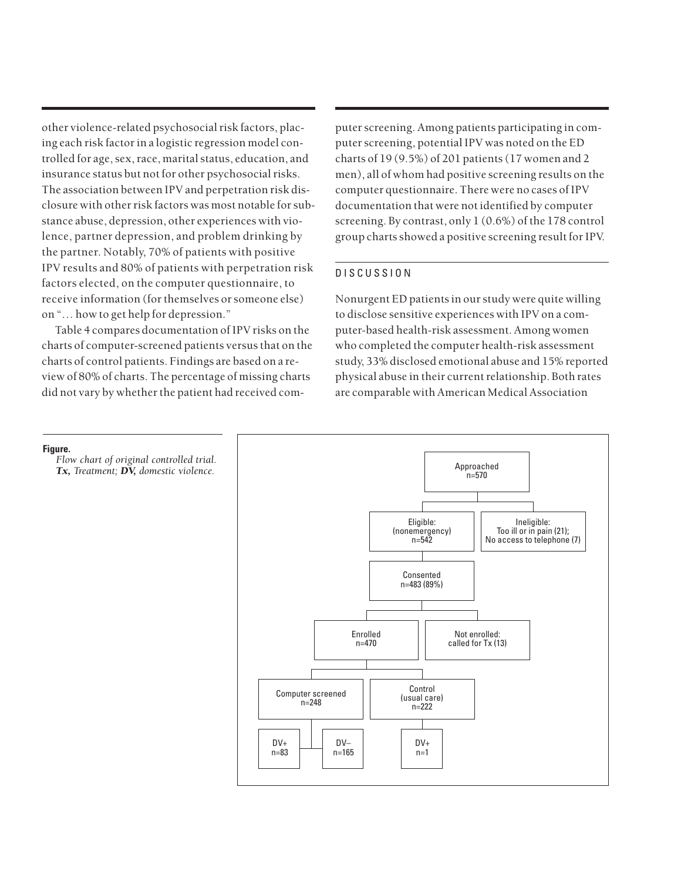other violence-related psychosocial risk factors, placing each risk factor in a logistic regression model controlled for age, sex, race, marital status, education, and insurance status but not for other psychosocial risks. The association between IPV and perpetration risk disclosure with other risk factors was most notable for substance abuse, depression, other experiences with violence, partner depression, and problem drinking by the partner. Notably, 70% of patients with positive IPV results and 80% of patients with perpetration risk factors elected, on the computer questionnaire, to receive information (for themselves or someone else) on "… how to get help for depression."

Table 4 compares documentation of IPV risks on the charts of computer-screened patients versus that on the charts of control patients. Findings are based on a review of 80% of charts. The percentage of missing charts did not vary by whether the patient had received computer screening. Among patients participating in computer screening, potential IPV was noted on the ED charts of 19 (9.5%) of 201 patients (17 women and 2 men), all of whom had positive screening results on the computer questionnaire. There were no cases of IPV documentation that were not identified by computer screening. By contrast, only 1 (0.6%) of the 178 control group charts showed a positive screening result for IPV.

## DISCUSSION

Nonurgent ED patients in our study were quite willing to disclose sensitive experiences with IPV on a computer-based health-risk assessment. Among women who completed the computer health-risk assessment study, 33% disclosed emotional abuse and 15% reported physical abuse in their current relationship. Both rates are comparable with American Medical Association

#### **Figure.**

*Flow chart of original controlled trial. Tx, Treatment; DV, domestic violence.*

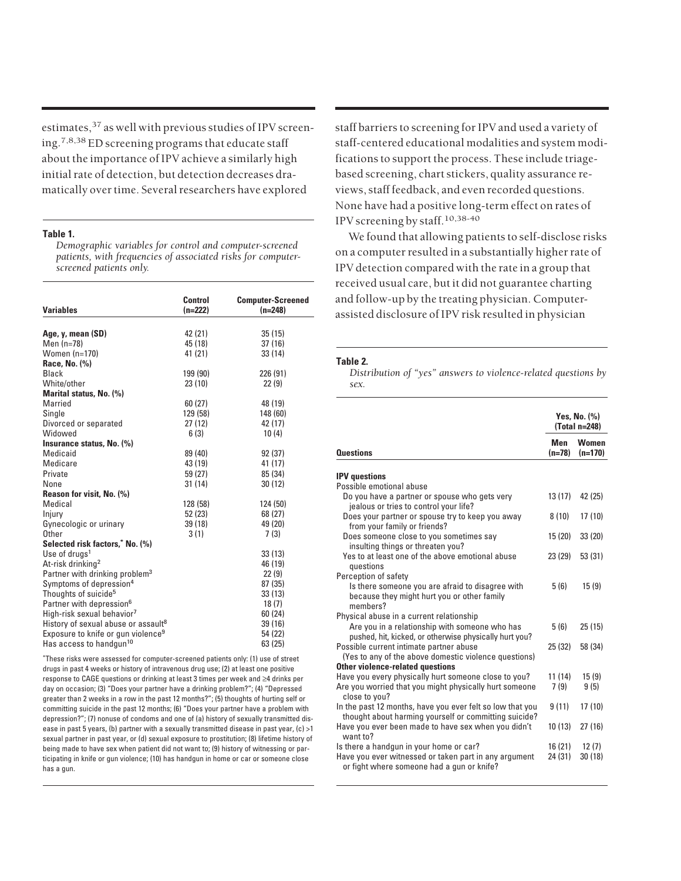estimates,  $37$  as well with previous studies of IPV screening.7,8,38 ED screening programs that educate staff about the importance of IPV achieve a similarly high initial rate of detection, but detection decreases dramatically over time. Several researchers have explored

#### **Table 1.**

*Demographic variables for control and computer-screened patients, with frequencies of associated risks for computerscreened patients only.*

| <b>Variables</b>                                | Control<br>$(n=222)$ | <b>Computer-Screened</b><br>$(n=248)$ |  |  |
|-------------------------------------------------|----------------------|---------------------------------------|--|--|
|                                                 |                      |                                       |  |  |
| Age, y, mean (SD)                               | 42 (21)              | 35(15)                                |  |  |
| Men $(n=78)$                                    | 45 (18)              | 37(16)                                |  |  |
| Women (n=170)                                   | 41 (21)              | 33(14)                                |  |  |
| Race, No. (%)                                   |                      |                                       |  |  |
| Black                                           | 199 (90)             | 226 (91)                              |  |  |
| White/other                                     | 23(10)               | 22(9)                                 |  |  |
| Marital status, No. (%)                         |                      |                                       |  |  |
| Married                                         | 60(27)               | 48 (19)                               |  |  |
| Single                                          | 129 (58)             | 148 (60)                              |  |  |
| Divorced or separated                           | 27(12)               | 42 (17)                               |  |  |
| Widowed                                         | 6(3)                 | 10(4)                                 |  |  |
| Insurance status, No. (%)                       |                      |                                       |  |  |
| Medicaid                                        | 89 (40)              | 92(37)                                |  |  |
| Medicare                                        | 43 (19)              | 41 (17)                               |  |  |
| Private                                         | 59 (27)              | 85 (34)                               |  |  |
| None                                            | 31(14)               | 30(12)                                |  |  |
| Reason for visit, No. (%)                       |                      |                                       |  |  |
| Medical                                         | 128 (58)             | 124 (50)                              |  |  |
| Injury                                          | 52 (23)              | 68 (27)                               |  |  |
| Gynecologic or urinary                          | 39 (18)              | 49 (20)                               |  |  |
| Other                                           | 3(1)                 | 7(3)                                  |  |  |
| Selected risk factors," No. (%)                 |                      |                                       |  |  |
| Use of drugs <sup>1</sup>                       |                      | 33(13)                                |  |  |
| At-risk drinking <sup>2</sup>                   |                      | 46 (19)                               |  |  |
| Partner with drinking problem <sup>3</sup>      |                      | 22(9)                                 |  |  |
| Symptoms of depression <sup>4</sup>             |                      | 87 (35)                               |  |  |
| Thoughts of suicide <sup>5</sup>                |                      | 33(13)                                |  |  |
| Partner with depression <sup>6</sup>            |                      | 18(7)                                 |  |  |
| High-risk sexual behavior <sup>7</sup>          |                      | 60 (24)                               |  |  |
| History of sexual abuse or assault <sup>8</sup> |                      | 39 (16)                               |  |  |
| Exposure to knife or gun violence <sup>9</sup>  |                      | 54 (22)                               |  |  |
| Has access to handqun <sup>10</sup>             |                      | 63 (25)                               |  |  |

\* These risks were assessed for computer-screened patients only: (1) use of street drugs in past 4 weeks or history of intravenous drug use; (2) at least one positive response to CAGE questions or drinking at least 3 times per week and ≥4 drinks per day on occasion; (3) "Does your partner have a drinking problem?"; (4) "Depressed greater than 2 weeks in a row in the past 12 months?"; (5) thoughts of hurting self or committing suicide in the past 12 months; (6) "Does your partner have a problem with depression?"; (7) nonuse of condoms and one of (a) history of sexually transmitted disease in past 5 years, (b) partner with a sexually transmitted disease in past year, (c) >1 sexual partner in past year, or (d) sexual exposure to prostitution; (8) lifetime history of being made to have sex when patient did not want to; (9) history of witnessing or participating in knife or gun violence; (10) has handgun in home or car or someone close has a gun.

staff barriers to screening for IPV and used a variety of staff-centered educational modalities and system modifications to support the process. These include triagebased screening, chart stickers, quality assurance reviews, staff feedback, and even recorded questions. None have had a positive long-term effect on rates of IPV screening by staff.10,38-40

We found that allowing patients to self-disclose risks on a computer resulted in a substantially higher rate of IPV detection compared with the rate in a group that received usual care, but it did not guarantee charting and follow-up by the treating physician. Computerassisted disclosure of IPV risk resulted in physician

#### **Table 2.**

*Distribution of "yes" answers to violence-related questions by sex.*

|                                                                                                                    | Yes, No. $(\%)$<br>(Total n=248) |                           |  |
|--------------------------------------------------------------------------------------------------------------------|----------------------------------|---------------------------|--|
| <b>Questions</b>                                                                                                   | Men<br>$(n=78)$                  | <b>Women</b><br>$(n=170)$ |  |
| <b>IPV</b> questions                                                                                               |                                  |                           |  |
| Possible emotional abuse                                                                                           |                                  |                           |  |
| Do you have a partner or spouse who gets very<br>jealous or tries to control your life?                            | 13 (17)                          | 42 (25)                   |  |
| Does your partner or spouse try to keep you away<br>from your family or friends?                                   | 8(10)                            | 17(10)                    |  |
| Does someone close to you sometimes say<br>insulting things or threaten you?                                       | 15 (20)                          | 33(20)                    |  |
| Yes to at least one of the above emotional abuse<br>questions                                                      | 23 (29)                          | 53 (31)                   |  |
| Perception of safety                                                                                               |                                  |                           |  |
| Is there someone you are afraid to disagree with<br>because they might hurt you or other family<br>members?        | 5(6)                             | 15(9)                     |  |
| Physical abuse in a current relationship                                                                           |                                  |                           |  |
| Are you in a relationship with someone who has<br>pushed, hit, kicked, or otherwise physically hurt you?           | 5(6)                             | 25(15)                    |  |
| Possible current intimate partner abuse<br>(Yes to any of the above domestic violence questions)                   | 25(32)                           | 58 (34)                   |  |
| <b>Other violence-related questions</b>                                                                            |                                  |                           |  |
| Have you every physically hurt someone close to you?                                                               | 11 (14)                          | 15(9)                     |  |
| Are you worried that you might physically hurt someone<br>close to you?                                            | 7(9)                             | 9(5)                      |  |
| In the past 12 months, have you ever felt so low that you<br>thought about harming yourself or committing suicide? | 9(11)                            | 17(10)                    |  |
| Have you ever been made to have sex when you didn't<br>want to?                                                    | 10(13)                           | 27(16)                    |  |
| Is there a handgun in your home or car?                                                                            | 16 (21)                          | 12(7)                     |  |
| Have you ever witnessed or taken part in any argument<br>or fight where someone had a gun or knife?                | 24 (31)                          | 30(18)                    |  |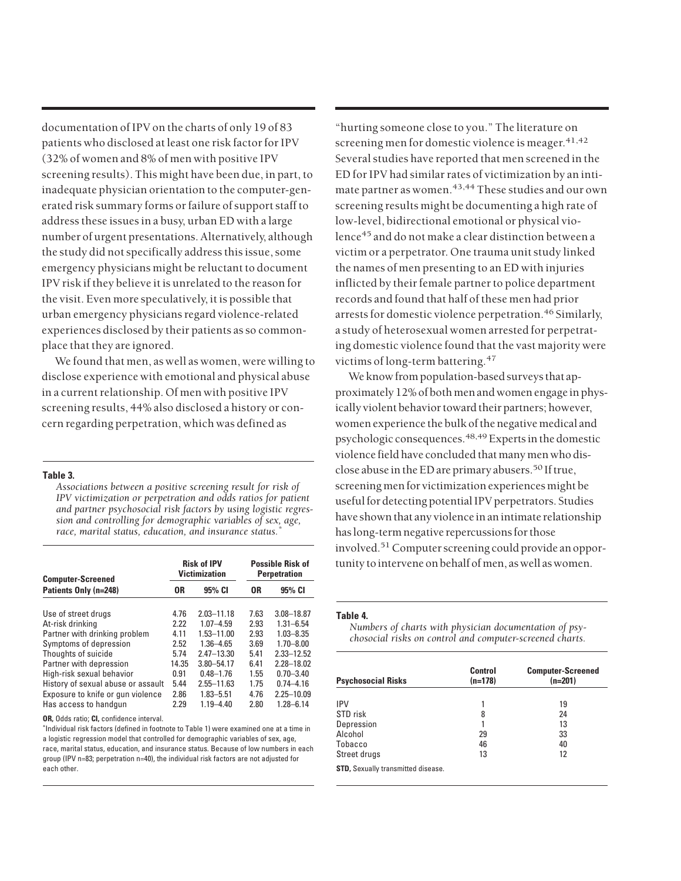documentation of IPV on the charts of only 19 of 83 patients who disclosed at least one risk factor for IPV (32% of women and 8% of men with positive IPV screening results). This might have been due, in part, to inadequate physician orientation to the computer-generated risk summary forms or failure of support staff to address these issues in a busy, urban ED with a large number of urgent presentations. Alternatively, although the study did not specifically address this issue, some emergency physicians might be reluctant to document IPV risk if they believe it is unrelated to the reason for the visit. Even more speculatively, it is possible that urban emergency physicians regard violence-related experiences disclosed by their patients as so commonplace that they are ignored.

We found that men, as well as women, were willing to disclose experience with emotional and physical abuse in a current relationship. Of men with positive IPV screening results, 44% also disclosed a history or concern regarding perpetration, which was defined as

#### **Table 3.**

*Associations between a positive screening result for risk of IPV victimization or perpetration and odds ratios for patient and partner psychosocial risk factors by using logistic regression and controlling for demographic variables of sex, age, race, marital status, education, and insurance status.\**

| <b>Computer-Screened</b><br>Patients Only (n=248) | <b>Risk of IPV</b><br><b>Victimization</b> |                | <b>Possible Risk of</b><br><b>Perpetration</b> |                |
|---------------------------------------------------|--------------------------------------------|----------------|------------------------------------------------|----------------|
|                                                   | 0R                                         | 95% CI         | 0R                                             | 95% CI         |
| Use of street drugs                               | 4.76                                       | $2.03 - 11.18$ | 7.63                                           | $3.08 - 18.87$ |
| At-risk drinking                                  | 2.22                                       | $1.07 - 4.59$  | 2.93                                           | $1.31 - 6.54$  |
| Partner with drinking problem                     | 4.11                                       | 1.53-11.00     | 2.93                                           | $1.03 - 8.35$  |
| Symptoms of depression                            | 2.52                                       | $1.36 - 4.65$  | 3.69                                           | $1.70 - 8.00$  |
| Thoughts of suicide                               | 5.74                                       | $2.47 - 13.30$ | 5.41                                           | 2.33-12.52     |
| Partner with depression                           | 14.35                                      | $3.80 - 54.17$ | 6.41                                           | $2.28 - 18.02$ |
| High-risk sexual behavior                         | 0.91                                       | $0.48 - 1.76$  | 1.55                                           | $0.70 - 3.40$  |
| History of sexual abuse or assault                | 5.44                                       | $2.55 - 11.63$ | 1.75                                           | $0.74 - 4.16$  |
| Exposure to knife or gun violence                 | 2.86                                       | $1.83 - 5.51$  | 4.76                                           | $2.25 - 10.09$ |
| Has access to handgun                             | 2.29                                       | $1.19 - 4.40$  | 2.80                                           | $1.28 - 6.14$  |

**OR,** Odds ratio; **CI,** confidence interval.

\* Individual risk factors (defined in footnote to Table 1) were examined one at a time in a logistic regression model that controlled for demographic variables of sex, age, race, marital status, education, and insurance status. Because of low numbers in each group (IPV n=83; perpetration n=40), the individual risk factors are not adjusted for each other.

"hurting someone close to you." The literature on screening men for domestic violence is meager.<sup>41,42</sup> Several studies have reported that men screened in the ED for IPV had similar rates of victimization by an intimate partner as women.<sup>43,44</sup> These studies and our own screening results might be documenting a high rate of low-level, bidirectional emotional or physical violence<sup>45</sup> and do not make a clear distinction between a victim or a perpetrator. One trauma unit study linked the names of men presenting to an ED with injuries inflicted by their female partner to police department records and found that half of these men had prior arrests for domestic violence perpetration.<sup>46</sup> Similarly, a study of heterosexual women arrested for perpetrating domestic violence found that the vast majority were victims of long-term battering.<sup>47</sup>

We know from population-based surveys that approximately 12% of both men and women engage in physically violent behavior toward their partners; however, women experience the bulk of the negative medical and psychologic consequences.<sup>48,49</sup> Experts in the domestic violence field have concluded that many men who disclose abuse in the ED are primary abusers.<sup>50</sup> If true, screening men for victimization experiences might be useful for detecting potential IPV perpetrators. Studies have shown that any violence in an intimate relationship has long-term negative repercussions for those involved.<sup>51</sup> Computer screening could provide an opportunity to intervene on behalf of men, as well as women.

#### **Table 4.**

*Numbers of charts with physician documentation of psychosocial risks on control and computer-screened charts.*

| <b>Psychosocial Risks</b>                 | Control<br>$(n=178)$ | <b>Computer-Screened</b><br>$(n=201)$ |
|-------------------------------------------|----------------------|---------------------------------------|
| <b>IPV</b>                                |                      |                                       |
|                                           |                      | 19                                    |
| STD risk                                  | 8                    | 24                                    |
| Depression                                |                      | 13                                    |
| Alcohol                                   | 29                   | 33                                    |
| Tobacco                                   | 46                   | 40                                    |
| Street drugs                              | 13                   | 12                                    |
| <b>STD, Sexually transmitted disease.</b> |                      |                                       |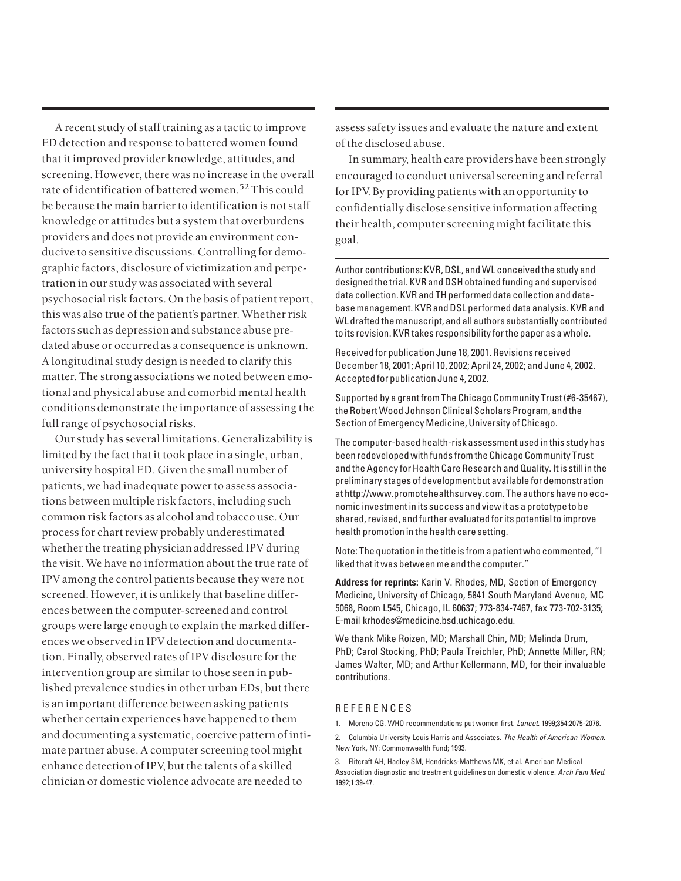A recent study of staff training as a tactic to improve ED detection and response to battered women found that it improved provider knowledge, attitudes, and screening. However, there was no increase in the overall rate of identification of battered women.<sup>52</sup> This could be because the main barrier to identification is not staff knowledge or attitudes but a system that overburdens providers and does not provide an environment conducive to sensitive discussions. Controlling for demographic factors, disclosure of victimization and perpetration in our study was associated with several psychosocial risk factors. On the basis of patient report, this was also true of the patient's partner. Whether risk factors such as depression and substance abuse predated abuse or occurred as a consequence is unknown. A longitudinal study design is needed to clarify this matter. The strong associations we noted between emotional and physical abuse and comorbid mental health conditions demonstrate the importance of assessing the full range of psychosocial risks.

Our study has several limitations. Generalizability is limited by the fact that it took place in a single, urban, university hospital ED. Given the small number of patients, we had inadequate power to assess associations between multiple risk factors, including such common risk factors as alcohol and tobacco use. Our process for chart review probably underestimated whether the treating physician addressed IPV during the visit. We have no information about the true rate of IPV among the control patients because they were not screened. However, it is unlikely that baseline differences between the computer-screened and control groups were large enough to explain the marked differences we observed in IPV detection and documentation. Finally, observed rates of IPV disclosure for the intervention group are similar to those seen in published prevalence studies in other urban EDs, but there is an important difference between asking patients whether certain experiences have happened to them and documenting a systematic, coercive pattern of intimate partner abuse. A computer screening tool might enhance detection of IPV, but the talents of a skilled clinician or domestic violence advocate are needed to

assess safety issues and evaluate the nature and extent of the disclosed abuse.

In summary, health care providers have been strongly encouraged to conduct universal screening and referral for IPV. By providing patients with an opportunity to confidentially disclose sensitive information affecting their health, computer screening might facilitate this goal.

Author contributions: KVR, DSL, and WL conceived the study and designed the trial. KVR and DSH obtained funding and supervised data collection. KVR and TH performed data collection and database management. KVR and DSL performed data analysis. KVR and WL drafted the manuscript, and all authors substantially contributed to its revision. KVR takes responsibility for the paper as a whole.

Received for publication June 18, 2001. Revisions received December 18, 2001; April 10, 2002; April 24, 2002; and June 4, 2002. Accepted for publication June 4, 2002.

Supported by a grant from The Chicago Community Trust (#6-35467), the Robert Wood Johnson Clinical Scholars Program, and the Section of Emergency Medicine, University of Chicago.

The computer-based health-risk assessment used in this study has been redeveloped with funds from the Chicago Community Trust and the Agency for Health Care Research and Quality. It is still in the preliminary stages of development but available for demonstration at http://www.promotehealthsurvey.com. The authors have no economic investment in its success and view it as a prototype to be shared, revised, and further evaluated for its potential to improve health promotion in the health care setting.

Note: The quotation in the title is from a patient who commented, "I liked that it was between me and the computer."

**Address for reprints:** Karin V. Rhodes, MD, Section of Emergency Medicine, University of Chicago, 5841 South Maryland Avenue, MC 5068, Room L545, Chicago, IL 60637; 773-834-7467, fax 773-702-3135; E-mail krhodes@medicine.bsd.uchicago.edu.

We thank Mike Roizen, MD; Marshall Chin, MD; Melinda Drum, PhD; Carol Stocking, PhD; Paula Treichler, PhD; Annette Miller, RN; James Walter, MD; and Arthur Kellermann, MD, for their invaluable contributions.

#### **REFERENCES**

<sup>1.</sup> Moreno CG. WHO recommendations put women first. Lancet. 1999;354:2075-2076.

<sup>2.</sup> Columbia University Louis Harris and Associates. The Health of American Women. New York, NY: Commonwealth Fund; 1993.

<sup>3.</sup> Flitcraft AH, Hadley SM, Hendricks-Matthews MK, et al. American Medical Association diagnostic and treatment guidelines on domestic violence. Arch Fam Med. 1992;1:39-47.